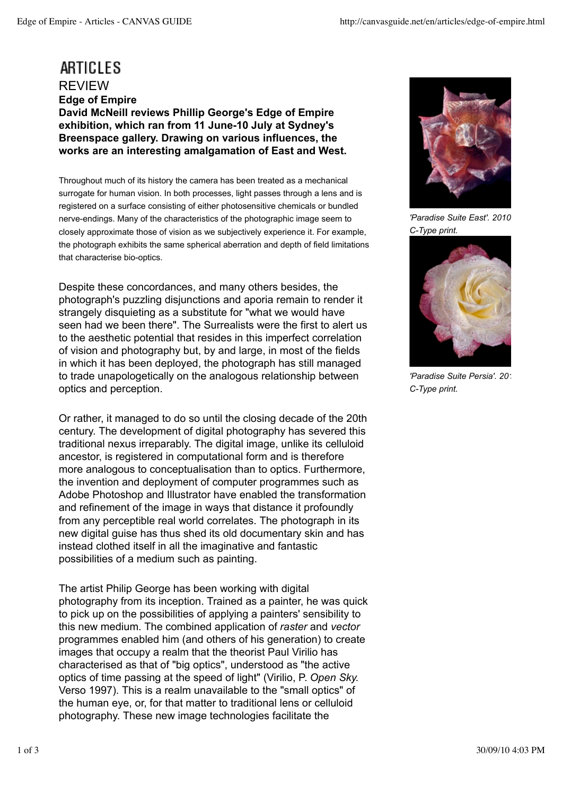## ARTICLES REVIEW **Edge of Empire David McNeill reviews Phillip George's Edge of Empire exhibition, which ran from 11 June-10 July at Sydney's Breenspace gallery. Drawing on various influences, the works are an interesting amalgamation of East and West.**

Throughout much of its history the camera has been treated as a mechanical surrogate for human vision. In both processes, light passes through a lens and is registered on a surface consisting of either photosensitive chemicals or bundled nerve-endings. Many of the characteristics of the photographic image seem to closely approximate those of vision as we subjectively experience it. For example, the photograph exhibits the same spherical aberration and depth of field limitations that characterise bio-optics.

Despite these concordances, and many others besides, the photograph's puzzling disjunctions and aporia remain to render it strangely disquieting as a substitute for "what we would have seen had we been there". The Surrealists were the first to alert us to the aesthetic potential that resides in this imperfect correlation of vision and photography but, by and large, in most of the fields in which it has been deployed, the photograph has still managed to trade unapologetically on the analogous relationship between optics and perception.

Or rather, it managed to do so until the closing decade of the 20th century. The development of digital photography has severed this traditional nexus irreparably. The digital image, unlike its celluloid ancestor, is registered in computational form and is therefore more analogous to conceptualisation than to optics. Furthermore, the invention and deployment of computer programmes such as Adobe Photoshop and Illustrator have enabled the transformation and refinement of the image in ways that distance it profoundly from any perceptible real world correlates. The photograph in its new digital guise has thus shed its old documentary skin and has instead clothed itself in all the imaginative and fantastic possibilities of a medium such as painting.

The artist Philip George has been working with digital photography from its inception. Trained as a painter, he was quick to pick up on the possibilities of applying a painters' sensibility to this new medium. The combined application of *raster* and *vector* programmes enabled him (and others of his generation) to create images that occupy a realm that the theorist Paul Virilio has characterised as that of "big optics", understood as "the active optics of time passing at the speed of light" (Virilio, P. *Open Sky.* Verso 1997). This is a realm unavailable to the "small optics" of the human eye, or, for that matter to traditional lens or celluloid photography. These new image technologies facilitate the



*'Paradise Suite East'. 2010. C-Type print.*



**'Paradise Suite Persia'. 201** *C-Type print.*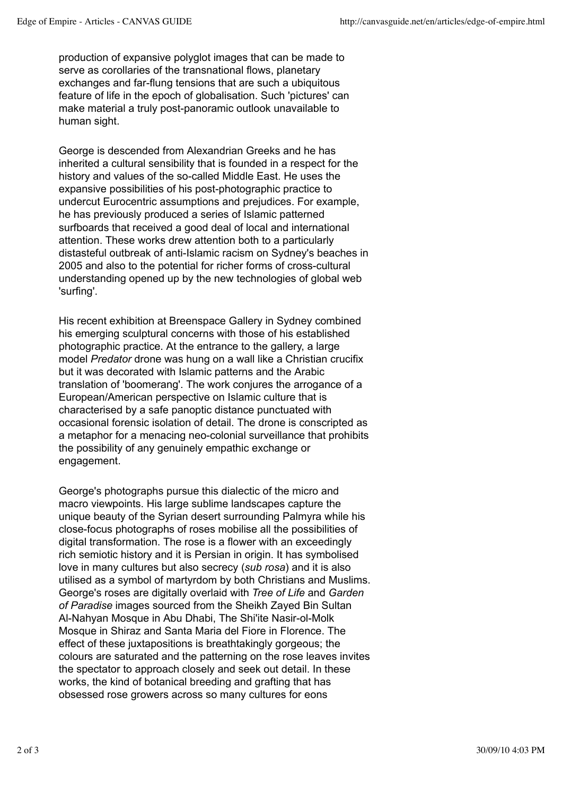production of expansive polyglot images that can be made to serve as corollaries of the transnational flows, planetary exchanges and far-flung tensions that are such a ubiquitous feature of life in the epoch of globalisation. Such 'pictures' can make material a truly post-panoramic outlook unavailable to human sight.

George is descended from Alexandrian Greeks and he has inherited a cultural sensibility that is founded in a respect for the history and values of the so-called Middle East. He uses the expansive possibilities of his post-photographic practice to undercut Eurocentric assumptions and prejudices. For example, he has previously produced a series of Islamic patterned surfboards that received a good deal of local and international attention. These works drew attention both to a particularly distasteful outbreak of anti-Islamic racism on Sydney's beaches in 2005 and also to the potential for richer forms of cross-cultural understanding opened up by the new technologies of global web 'surfing'.

His recent exhibition at Breenspace Gallery in Sydney combined his emerging sculptural concerns with those of his established photographic practice. At the entrance to the gallery, a large model *Predator* drone was hung on a wall like a Christian crucifix but it was decorated with Islamic patterns and the Arabic translation of 'boomerang'. The work conjures the arrogance of a European/American perspective on Islamic culture that is characterised by a safe panoptic distance punctuated with occasional forensic isolation of detail. The drone is conscripted as a metaphor for a menacing neo-colonial surveillance that prohibits the possibility of any genuinely empathic exchange or engagement.

George's photographs pursue this dialectic of the micro and macro viewpoints. His large sublime landscapes capture the unique beauty of the Syrian desert surrounding Palmyra while his close-focus photographs of roses mobilise all the possibilities of digital transformation. The rose is a flower with an exceedingly rich semiotic history and it is Persian in origin. It has symbolised love in many cultures but also secrecy (*sub rosa*) and it is also utilised as a symbol of martyrdom by both Christians and Muslims. George's roses are digitally overlaid with *Tree of Life* and *Garden of Paradise* images sourced from the Sheikh Zayed Bin Sultan Al-Nahyan Mosque in Abu Dhabi, The Shi'ite Nasir-ol-Molk Mosque in Shiraz and Santa Maria del Fiore in Florence. The effect of these juxtapositions is breathtakingly gorgeous; the colours are saturated and the patterning on the rose leaves invites the spectator to approach closely and seek out detail. In these works, the kind of botanical breeding and grafting that has obsessed rose growers across so many cultures for eons